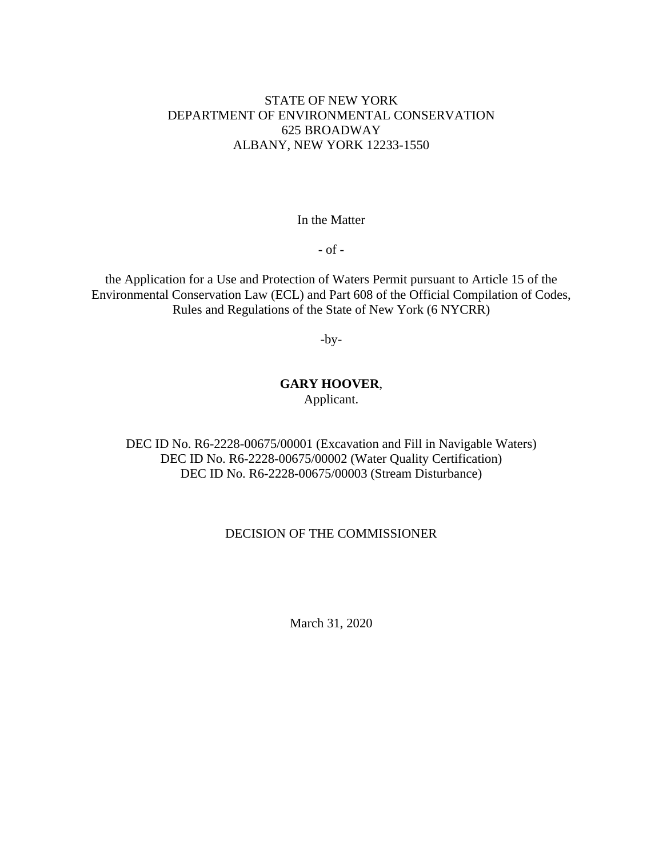# STATE OF NEW YORK DEPARTMENT OF ENVIRONMENTAL CONSERVATION 625 BROADWAY ALBANY, NEW YORK 12233-1550

### In the Matter

- of -

the Application for a Use and Protection of Waters Permit pursuant to Article 15 of the Environmental Conservation Law (ECL) and Part 608 of the Official Compilation of Codes, Rules and Regulations of the State of New York (6 NYCRR)

-by-

# **GARY HOOVER**,

Applicant.

DEC ID No. R6-2228-00675/00001 (Excavation and Fill in Navigable Waters) DEC ID No. R6-2228-00675/00002 (Water Quality Certification) DEC ID No. R6-2228-00675/00003 (Stream Disturbance)

## DECISION OF THE COMMISSIONER

March 31, 2020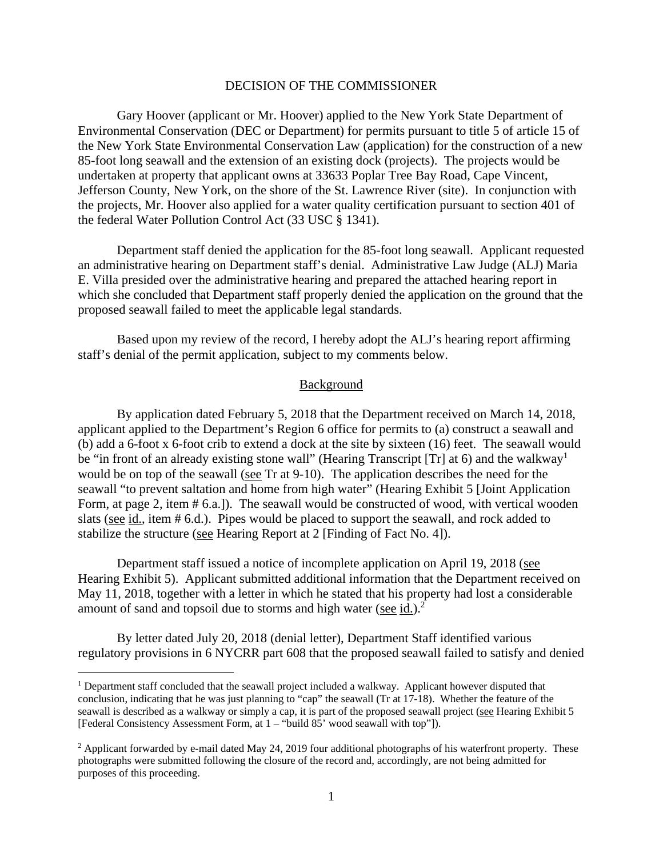### DECISION OF THE COMMISSIONER

 Gary Hoover (applicant or Mr. Hoover) applied to the New York State Department of Environmental Conservation (DEC or Department) for permits pursuant to title 5 of article 15 of the New York State Environmental Conservation Law (application) for the construction of a new 85-foot long seawall and the extension of an existing dock (projects). The projects would be undertaken at property that applicant owns at 33633 Poplar Tree Bay Road, Cape Vincent, Jefferson County, New York, on the shore of the St. Lawrence River (site). In conjunction with the projects, Mr. Hoover also applied for a water quality certification pursuant to section 401 of the federal Water Pollution Control Act (33 USC § 1341).

Department staff denied the application for the 85-foot long seawall. Applicant requested an administrative hearing on Department staff's denial. Administrative Law Judge (ALJ) Maria E. Villa presided over the administrative hearing and prepared the attached hearing report in which she concluded that Department staff properly denied the application on the ground that the proposed seawall failed to meet the applicable legal standards.

Based upon my review of the record, I hereby adopt the ALJ's hearing report affirming staff's denial of the permit application, subject to my comments below.

### Background

By application dated February 5, 2018 that the Department received on March 14, 2018, applicant applied to the Department's Region 6 office for permits to (a) construct a seawall and (b) add a 6-foot x 6-foot crib to extend a dock at the site by sixteen (16) feet. The seawall would be "in front of an already existing stone wall" (Hearing Transcript [Tr] at 6) and the walkway<sup>1</sup> would be on top of the seawall (see Tr at 9-10). The application describes the need for the seawall "to prevent saltation and home from high water" (Hearing Exhibit 5 [Joint Application Form, at page 2, item # 6.a.]). The seawall would be constructed of wood, with vertical wooden slats (see id., item # 6.d.). Pipes would be placed to support the seawall, and rock added to stabilize the structure (see Hearing Report at 2 [Finding of Fact No. 4]).

Department staff issued a notice of incomplete application on April 19, 2018 (see Hearing Exhibit 5). Applicant submitted additional information that the Department received on May 11, 2018, together with a letter in which he stated that his property had lost a considerable amount of sand and topsoil due to storms and high water (see  $id.$ ).<sup>2</sup>

By letter dated July 20, 2018 (denial letter), Department Staff identified various regulatory provisions in 6 NYCRR part 608 that the proposed seawall failed to satisfy and denied

<sup>&</sup>lt;sup>1</sup> Department staff concluded that the seawall project included a walkway. Applicant however disputed that conclusion, indicating that he was just planning to "cap" the seawall (Tr at 17-18). Whether the feature of the seawall is described as a walkway or simply a cap, it is part of the proposed seawall project (see Hearing Exhibit 5 [Federal Consistency Assessment Form, at 1 – "build 85' wood seawall with top"]).

 $2$  Applicant forwarded by e-mail dated May 24, 2019 four additional photographs of his waterfront property. These photographs were submitted following the closure of the record and, accordingly, are not being admitted for purposes of this proceeding.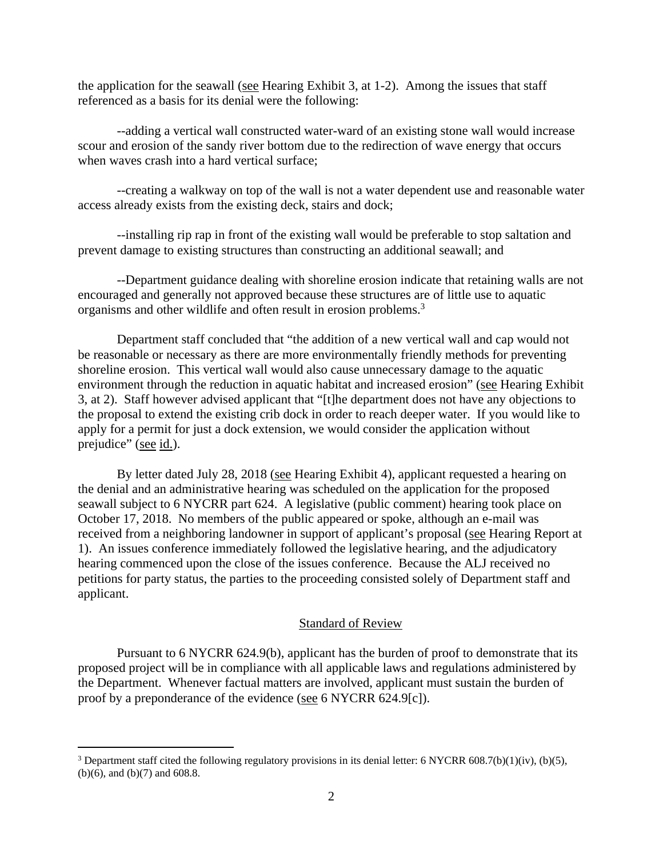the application for the seawall (see Hearing Exhibit 3, at 1-2). Among the issues that staff referenced as a basis for its denial were the following:

--adding a vertical wall constructed water-ward of an existing stone wall would increase scour and erosion of the sandy river bottom due to the redirection of wave energy that occurs when waves crash into a hard vertical surface;

--creating a walkway on top of the wall is not a water dependent use and reasonable water access already exists from the existing deck, stairs and dock;

--installing rip rap in front of the existing wall would be preferable to stop saltation and prevent damage to existing structures than constructing an additional seawall; and

--Department guidance dealing with shoreline erosion indicate that retaining walls are not encouraged and generally not approved because these structures are of little use to aquatic organisms and other wildlife and often result in erosion problems.3

Department staff concluded that "the addition of a new vertical wall and cap would not be reasonable or necessary as there are more environmentally friendly methods for preventing shoreline erosion. This vertical wall would also cause unnecessary damage to the aquatic environment through the reduction in aquatic habitat and increased erosion" (see Hearing Exhibit 3, at 2). Staff however advised applicant that "[t]he department does not have any objections to the proposal to extend the existing crib dock in order to reach deeper water. If you would like to apply for a permit for just a dock extension, we would consider the application without prejudice" (see id.).

By letter dated July 28, 2018 (see Hearing Exhibit 4), applicant requested a hearing on the denial and an administrative hearing was scheduled on the application for the proposed seawall subject to 6 NYCRR part 624. A legislative (public comment) hearing took place on October 17, 2018. No members of the public appeared or spoke, although an e-mail was received from a neighboring landowner in support of applicant's proposal (see Hearing Report at 1). An issues conference immediately followed the legislative hearing, and the adjudicatory hearing commenced upon the close of the issues conference. Because the ALJ received no petitions for party status, the parties to the proceeding consisted solely of Department staff and applicant.

### Standard of Review

Pursuant to 6 NYCRR 624.9(b), applicant has the burden of proof to demonstrate that its proposed project will be in compliance with all applicable laws and regulations administered by the Department. Whenever factual matters are involved, applicant must sustain the burden of proof by a preponderance of the evidence (see 6 NYCRR 624.9[c]).

<sup>&</sup>lt;sup>3</sup> Department staff cited the following regulatory provisions in its denial letter: 6 NYCRR 608.7(b)(1)(iv), (b)(5), (b)(6), and (b)(7) and 608.8.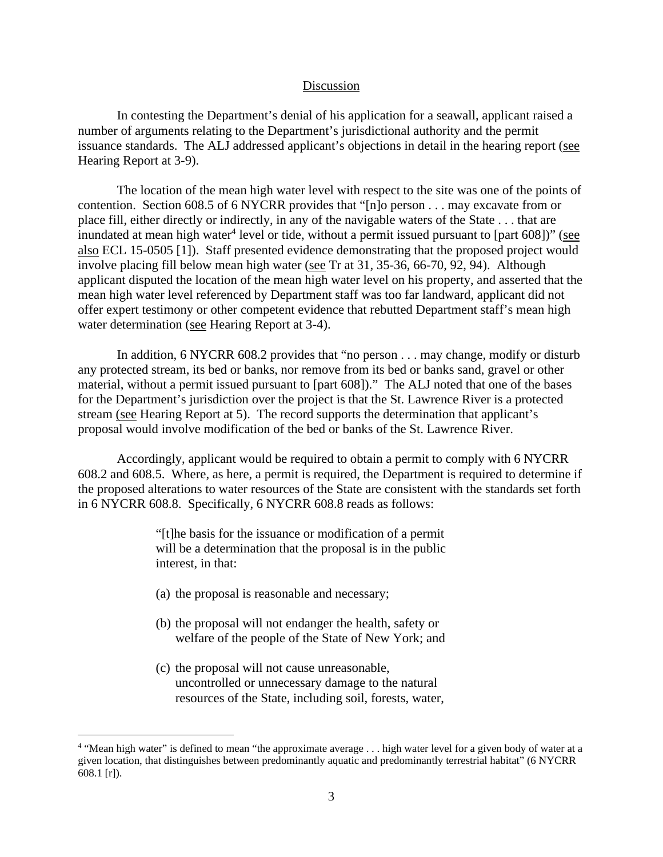#### Discussion

In contesting the Department's denial of his application for a seawall, applicant raised a number of arguments relating to the Department's jurisdictional authority and the permit issuance standards. The ALJ addressed applicant's objections in detail in the hearing report (see Hearing Report at 3-9).

The location of the mean high water level with respect to the site was one of the points of contention. Section 608.5 of 6 NYCRR provides that "[n]o person . . . may excavate from or place fill, either directly or indirectly, in any of the navigable waters of the State . . . that are inundated at mean high water<sup>4</sup> level or tide, without a permit issued pursuant to [part 608])" (see also ECL 15-0505 [1]). Staff presented evidence demonstrating that the proposed project would involve placing fill below mean high water (see Tr at 31, 35-36, 66-70, 92, 94). Although applicant disputed the location of the mean high water level on his property, and asserted that the mean high water level referenced by Department staff was too far landward, applicant did not offer expert testimony or other competent evidence that rebutted Department staff's mean high water determination (see Hearing Report at 3-4).

In addition, 6 NYCRR 608.2 provides that "no person . . . may change, modify or disturb any protected stream, its bed or banks, nor remove from its bed or banks sand, gravel or other material, without a permit issued pursuant to [part 608])." The ALJ noted that one of the bases for the Department's jurisdiction over the project is that the St. Lawrence River is a protected stream (see Hearing Report at 5). The record supports the determination that applicant's proposal would involve modification of the bed or banks of the St. Lawrence River.

Accordingly, applicant would be required to obtain a permit to comply with 6 NYCRR 608.2 and 608.5. Where, as here, a permit is required, the Department is required to determine if the proposed alterations to water resources of the State are consistent with the standards set forth in 6 NYCRR 608.8. Specifically, 6 NYCRR 608.8 reads as follows:

> "[t]he basis for the issuance or modification of a permit will be a determination that the proposal is in the public interest, in that:

- (a) the proposal is reasonable and necessary;
- (b) the proposal will not endanger the health, safety or welfare of the people of the State of New York; and
- (c) the proposal will not cause unreasonable, uncontrolled or unnecessary damage to the natural resources of the State, including soil, forests, water,

<sup>&</sup>lt;sup>4</sup> "Mean high water" is defined to mean "the approximate average . . . high water level for a given body of water at a given location, that distinguishes between predominantly aquatic and predominantly terrestrial habitat" (6 NYCRR 608.1 [r]).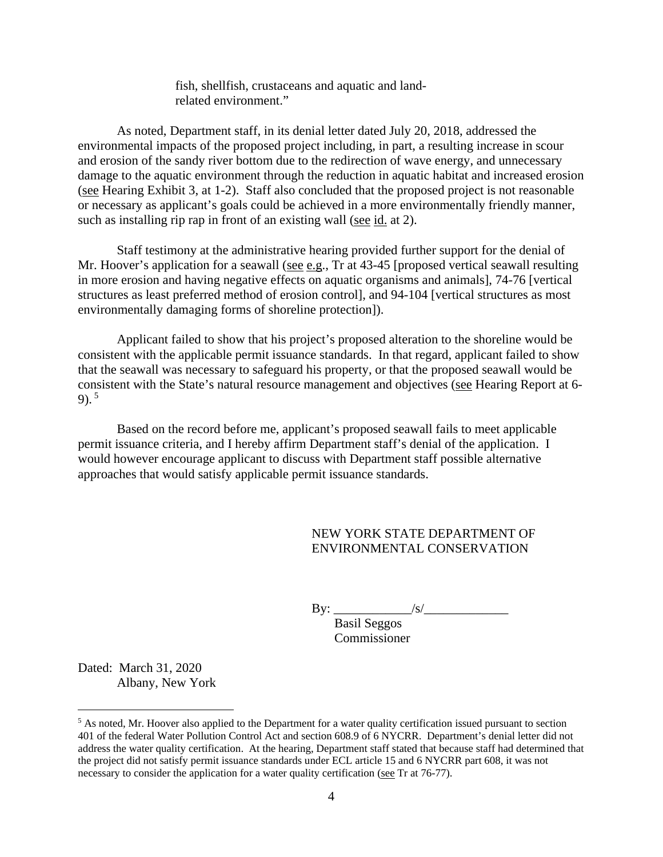fish, shellfish, crustaceans and aquatic and landrelated environment."

As noted, Department staff, in its denial letter dated July 20, 2018, addressed the environmental impacts of the proposed project including, in part, a resulting increase in scour and erosion of the sandy river bottom due to the redirection of wave energy, and unnecessary damage to the aquatic environment through the reduction in aquatic habitat and increased erosion (see Hearing Exhibit 3, at 1-2). Staff also concluded that the proposed project is not reasonable or necessary as applicant's goals could be achieved in a more environmentally friendly manner, such as installing rip rap in front of an existing wall (see id. at 2).

Staff testimony at the administrative hearing provided further support for the denial of Mr. Hoover's application for a seawall (see e.g., Tr at 43-45 [proposed vertical seawall resulting in more erosion and having negative effects on aquatic organisms and animals], 74-76 [vertical structures as least preferred method of erosion control], and 94-104 [vertical structures as most environmentally damaging forms of shoreline protection]).

Applicant failed to show that his project's proposed alteration to the shoreline would be consistent with the applicable permit issuance standards. In that regard, applicant failed to show that the seawall was necessary to safeguard his property, or that the proposed seawall would be consistent with the State's natural resource management and objectives (see Hearing Report at 6- 9).<sup>5</sup>

Based on the record before me, applicant's proposed seawall fails to meet applicable permit issuance criteria, and I hereby affirm Department staff's denial of the application. I would however encourage applicant to discuss with Department staff possible alternative approaches that would satisfy applicable permit issuance standards.

## NEW YORK STATE DEPARTMENT OF ENVIRONMENTAL CONSERVATION

By: \_\_\_\_\_\_\_\_\_\_\_\_/s/\_\_\_\_\_\_\_\_\_\_\_\_\_

 Basil Seggos Commissioner

Dated: March 31, 2020 Albany, New York

<sup>&</sup>lt;sup>5</sup> As noted, Mr. Hoover also applied to the Department for a water quality certification issued pursuant to section 401 of the federal Water Pollution Control Act and section 608.9 of 6 NYCRR. Department's denial letter did not address the water quality certification. At the hearing, Department staff stated that because staff had determined that the project did not satisfy permit issuance standards under ECL article 15 and 6 NYCRR part 608, it was not necessary to consider the application for a water quality certification (see Tr at 76-77).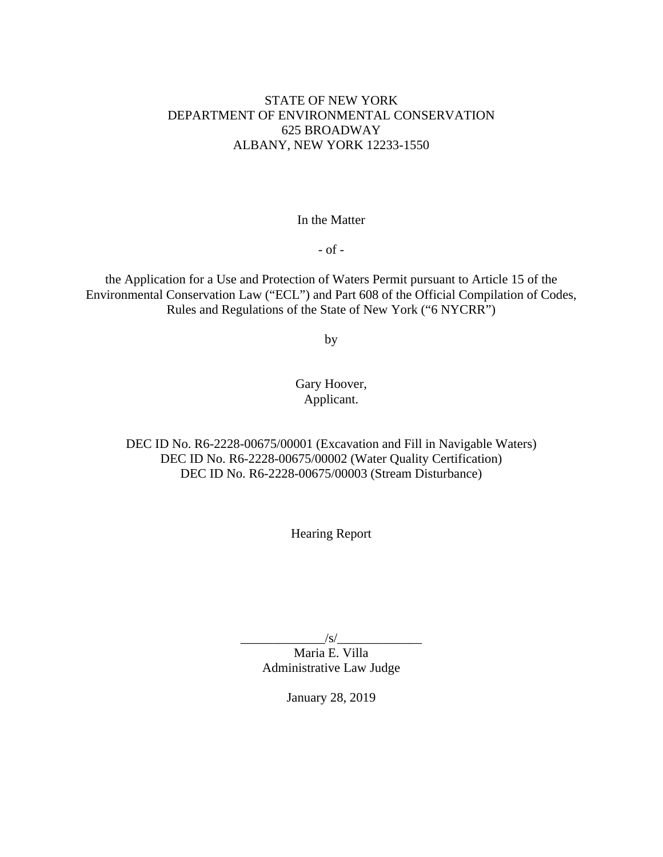# STATE OF NEW YORK DEPARTMENT OF ENVIRONMENTAL CONSERVATION 625 BROADWAY ALBANY, NEW YORK 12233-1550

## In the Matter

- of -

the Application for a Use and Protection of Waters Permit pursuant to Article 15 of the Environmental Conservation Law ("ECL") and Part 608 of the Official Compilation of Codes, Rules and Regulations of the State of New York ("6 NYCRR")

by

# Gary Hoover, Applicant.

DEC ID No. R6-2228-00675/00001 (Excavation and Fill in Navigable Waters) DEC ID No. R6-2228-00675/00002 (Water Quality Certification) DEC ID No. R6-2228-00675/00003 (Stream Disturbance)

Hearing Report

 $\sqrt{s}$ /

Maria E. Villa Administrative Law Judge

January 28, 2019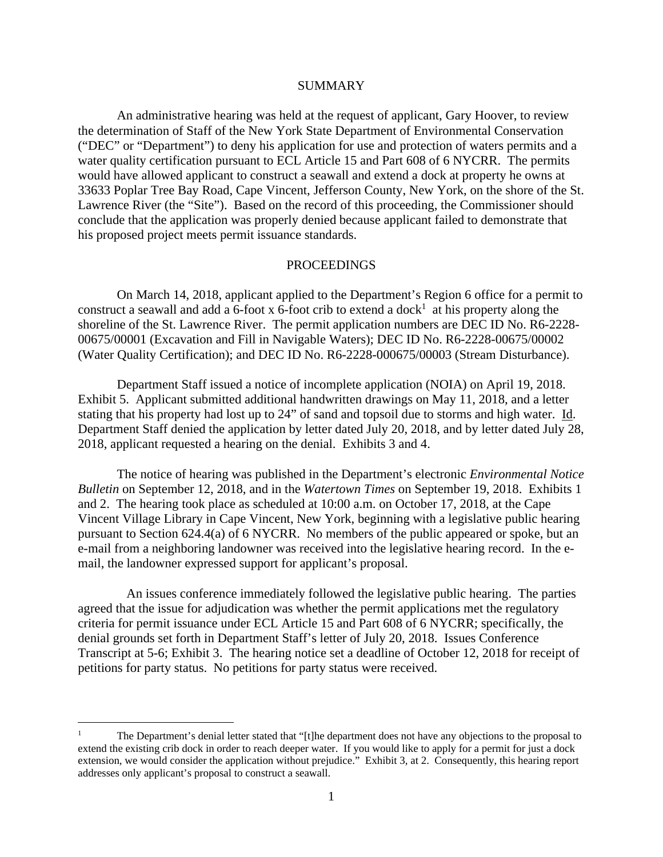#### **SUMMARY**

 An administrative hearing was held at the request of applicant, Gary Hoover, to review the determination of Staff of the New York State Department of Environmental Conservation ("DEC" or "Department") to deny his application for use and protection of waters permits and a water quality certification pursuant to ECL Article 15 and Part 608 of 6 NYCRR. The permits would have allowed applicant to construct a seawall and extend a dock at property he owns at 33633 Poplar Tree Bay Road, Cape Vincent, Jefferson County, New York, on the shore of the St. Lawrence River (the "Site"). Based on the record of this proceeding, the Commissioner should conclude that the application was properly denied because applicant failed to demonstrate that his proposed project meets permit issuance standards.

### PROCEEDINGS

 On March 14, 2018, applicant applied to the Department's Region 6 office for a permit to construct a seawall and add a 6-foot x 6-foot crib to extend a dock<sup>1</sup> at his property along the shoreline of the St. Lawrence River. The permit application numbers are DEC ID No. R6-2228- 00675/00001 (Excavation and Fill in Navigable Waters); DEC ID No. R6-2228-00675/00002 (Water Quality Certification); and DEC ID No. R6-2228-000675/00003 (Stream Disturbance).

 Department Staff issued a notice of incomplete application (NOIA) on April 19, 2018. Exhibit 5. Applicant submitted additional handwritten drawings on May 11, 2018, and a letter stating that his property had lost up to 24" of sand and topsoil due to storms and high water. Id. Department Staff denied the application by letter dated July 20, 2018, and by letter dated July 28, 2018, applicant requested a hearing on the denial. Exhibits 3 and 4.

 The notice of hearing was published in the Department's electronic *Environmental Notice Bulletin* on September 12, 2018, and in the *Watertown Times* on September 19, 2018. Exhibits 1 and 2. The hearing took place as scheduled at 10:00 a.m. on October 17, 2018, at the Cape Vincent Village Library in Cape Vincent, New York, beginning with a legislative public hearing pursuant to Section 624.4(a) of 6 NYCRR. No members of the public appeared or spoke, but an e-mail from a neighboring landowner was received into the legislative hearing record. In the email, the landowner expressed support for applicant's proposal.

 An issues conference immediately followed the legislative public hearing. The parties agreed that the issue for adjudication was whether the permit applications met the regulatory criteria for permit issuance under ECL Article 15 and Part 608 of 6 NYCRR; specifically, the denial grounds set forth in Department Staff's letter of July 20, 2018. Issues Conference Transcript at 5-6; Exhibit 3. The hearing notice set a deadline of October 12, 2018 for receipt of petitions for party status. No petitions for party status were received.

<sup>1</sup> The Department's denial letter stated that "[t]he department does not have any objections to the proposal to extend the existing crib dock in order to reach deeper water. If you would like to apply for a permit for just a dock extension, we would consider the application without prejudice." Exhibit 3, at 2. Consequently, this hearing report addresses only applicant's proposal to construct a seawall.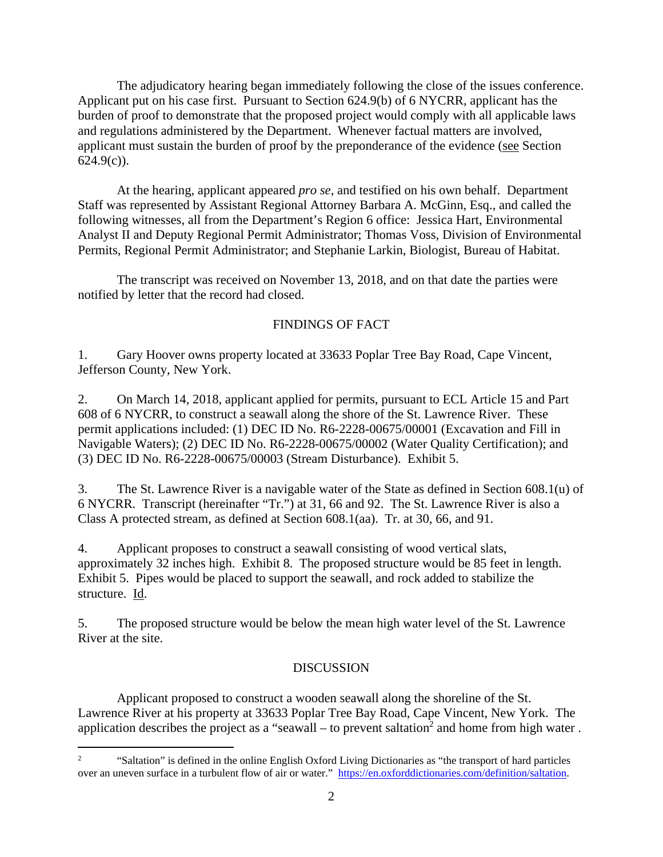The adjudicatory hearing began immediately following the close of the issues conference. Applicant put on his case first. Pursuant to Section 624.9(b) of 6 NYCRR, applicant has the burden of proof to demonstrate that the proposed project would comply with all applicable laws and regulations administered by the Department. Whenever factual matters are involved, applicant must sustain the burden of proof by the preponderance of the evidence (see Section  $624.9(c)$ ).

At the hearing, applicant appeared *pro se*, and testified on his own behalf. Department Staff was represented by Assistant Regional Attorney Barbara A. McGinn, Esq., and called the following witnesses, all from the Department's Region 6 office: Jessica Hart, Environmental Analyst II and Deputy Regional Permit Administrator; Thomas Voss, Division of Environmental Permits, Regional Permit Administrator; and Stephanie Larkin, Biologist, Bureau of Habitat.

 The transcript was received on November 13, 2018, and on that date the parties were notified by letter that the record had closed.

# FINDINGS OF FACT

1. Gary Hoover owns property located at 33633 Poplar Tree Bay Road, Cape Vincent, Jefferson County, New York.

2. On March 14, 2018, applicant applied for permits, pursuant to ECL Article 15 and Part 608 of 6 NYCRR, to construct a seawall along the shore of the St. Lawrence River. These permit applications included: (1) DEC ID No. R6-2228-00675/00001 (Excavation and Fill in Navigable Waters); (2) DEC ID No. R6-2228-00675/00002 (Water Quality Certification); and (3) DEC ID No. R6-2228-00675/00003 (Stream Disturbance). Exhibit 5.

3. The St. Lawrence River is a navigable water of the State as defined in Section 608.1(u) of 6 NYCRR. Transcript (hereinafter "Tr.") at 31, 66 and 92. The St. Lawrence River is also a Class A protected stream, as defined at Section 608.1(aa). Tr. at 30, 66, and 91.

4. Applicant proposes to construct a seawall consisting of wood vertical slats, approximately 32 inches high. Exhibit 8. The proposed structure would be 85 feet in length. Exhibit 5. Pipes would be placed to support the seawall, and rock added to stabilize the structure. Id.

5. The proposed structure would be below the mean high water level of the St. Lawrence River at the site.

# **DISCUSSION**

Applicant proposed to construct a wooden seawall along the shoreline of the St. Lawrence River at his property at 33633 Poplar Tree Bay Road, Cape Vincent, New York. The application describes the project as a "seawall – to prevent saltation<sup>2</sup> and home from high water.

 $\mathfrak{D}$  "Saltation" is defined in the online English Oxford Living Dictionaries as "the transport of hard particles over an uneven surface in a turbulent flow of air or water." https://en.oxforddictionaries.com/definition/saltation.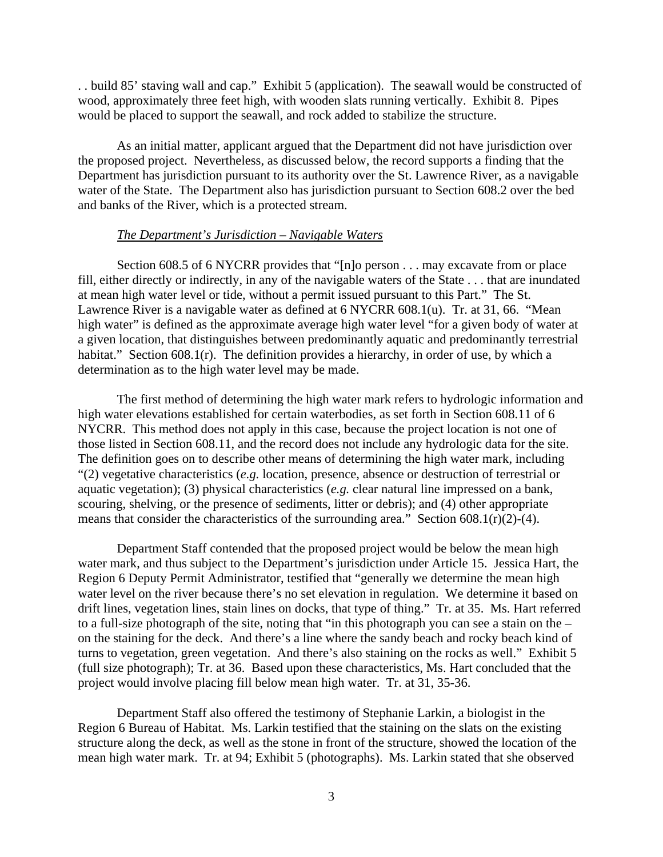. . build 85' staving wall and cap." Exhibit 5 (application). The seawall would be constructed of wood, approximately three feet high, with wooden slats running vertically. Exhibit 8. Pipes would be placed to support the seawall, and rock added to stabilize the structure.

As an initial matter, applicant argued that the Department did not have jurisdiction over the proposed project. Nevertheless, as discussed below, the record supports a finding that the Department has jurisdiction pursuant to its authority over the St. Lawrence River, as a navigable water of the State. The Department also has jurisdiction pursuant to Section 608.2 over the bed and banks of the River, which is a protected stream.

### *The Department's Jurisdiction – Navigable Waters*

 Section 608.5 of 6 NYCRR provides that "[n]o person . . . may excavate from or place fill, either directly or indirectly, in any of the navigable waters of the State . . . that are inundated at mean high water level or tide, without a permit issued pursuant to this Part." The St. Lawrence River is a navigable water as defined at 6 NYCRR 608.1(u). Tr. at 31, 66. "Mean high water" is defined as the approximate average high water level "for a given body of water at a given location, that distinguishes between predominantly aquatic and predominantly terrestrial habitat." Section 608.1(r). The definition provides a hierarchy, in order of use, by which a determination as to the high water level may be made.

The first method of determining the high water mark refers to hydrologic information and high water elevations established for certain waterbodies, as set forth in Section 608.11 of 6 NYCRR. This method does not apply in this case, because the project location is not one of those listed in Section 608.11, and the record does not include any hydrologic data for the site. The definition goes on to describe other means of determining the high water mark, including "(2) vegetative characteristics (*e.g.* location, presence, absence or destruction of terrestrial or aquatic vegetation); (3) physical characteristics (*e.g.* clear natural line impressed on a bank, scouring, shelving, or the presence of sediments, litter or debris); and (4) other appropriate means that consider the characteristics of the surrounding area." Section  $608.1(r)(2)-(4)$ .

Department Staff contended that the proposed project would be below the mean high water mark, and thus subject to the Department's jurisdiction under Article 15. Jessica Hart, the Region 6 Deputy Permit Administrator, testified that "generally we determine the mean high water level on the river because there's no set elevation in regulation. We determine it based on drift lines, vegetation lines, stain lines on docks, that type of thing." Tr. at 35. Ms. Hart referred to a full-size photograph of the site, noting that "in this photograph you can see a stain on the – on the staining for the deck. And there's a line where the sandy beach and rocky beach kind of turns to vegetation, green vegetation. And there's also staining on the rocks as well." Exhibit 5 (full size photograph); Tr. at 36. Based upon these characteristics, Ms. Hart concluded that the project would involve placing fill below mean high water. Tr. at 31, 35-36.

Department Staff also offered the testimony of Stephanie Larkin, a biologist in the Region 6 Bureau of Habitat. Ms. Larkin testified that the staining on the slats on the existing structure along the deck, as well as the stone in front of the structure, showed the location of the mean high water mark. Tr. at 94; Exhibit 5 (photographs). Ms. Larkin stated that she observed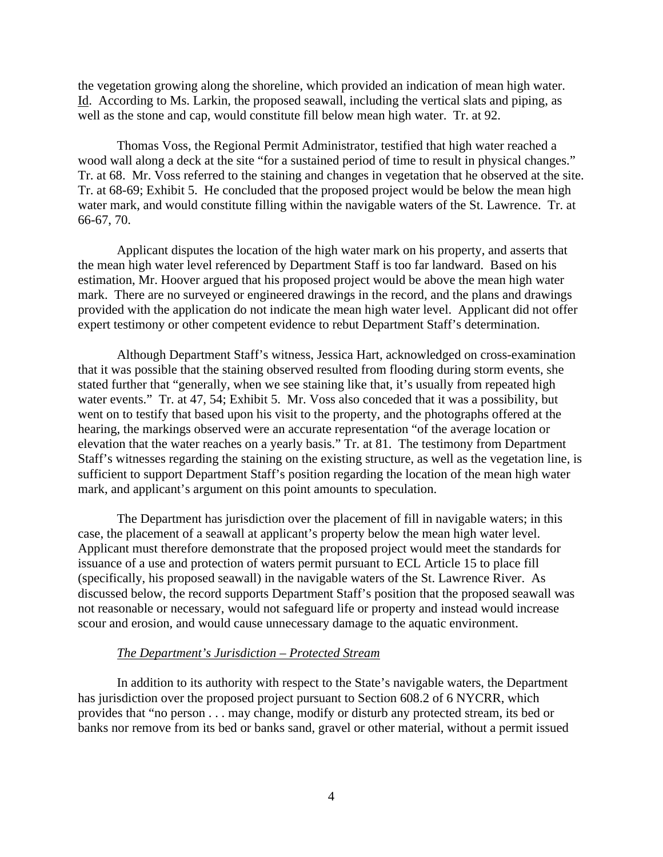the vegetation growing along the shoreline, which provided an indication of mean high water. Id. According to Ms. Larkin, the proposed seawall, including the vertical slats and piping, as well as the stone and cap, would constitute fill below mean high water. Tr. at 92.

Thomas Voss, the Regional Permit Administrator, testified that high water reached a wood wall along a deck at the site "for a sustained period of time to result in physical changes." Tr. at 68. Mr. Voss referred to the staining and changes in vegetation that he observed at the site. Tr. at 68-69; Exhibit 5. He concluded that the proposed project would be below the mean high water mark, and would constitute filling within the navigable waters of the St. Lawrence. Tr. at 66-67, 70.

Applicant disputes the location of the high water mark on his property, and asserts that the mean high water level referenced by Department Staff is too far landward. Based on his estimation, Mr. Hoover argued that his proposed project would be above the mean high water mark. There are no surveyed or engineered drawings in the record, and the plans and drawings provided with the application do not indicate the mean high water level. Applicant did not offer expert testimony or other competent evidence to rebut Department Staff's determination.

Although Department Staff's witness, Jessica Hart, acknowledged on cross-examination that it was possible that the staining observed resulted from flooding during storm events, she stated further that "generally, when we see staining like that, it's usually from repeated high water events." Tr. at 47, 54; Exhibit 5. Mr. Voss also conceded that it was a possibility, but went on to testify that based upon his visit to the property, and the photographs offered at the hearing, the markings observed were an accurate representation "of the average location or elevation that the water reaches on a yearly basis." Tr. at 81. The testimony from Department Staff's witnesses regarding the staining on the existing structure, as well as the vegetation line, is sufficient to support Department Staff's position regarding the location of the mean high water mark, and applicant's argument on this point amounts to speculation.

The Department has jurisdiction over the placement of fill in navigable waters; in this case, the placement of a seawall at applicant's property below the mean high water level. Applicant must therefore demonstrate that the proposed project would meet the standards for issuance of a use and protection of waters permit pursuant to ECL Article 15 to place fill (specifically, his proposed seawall) in the navigable waters of the St. Lawrence River. As discussed below, the record supports Department Staff's position that the proposed seawall was not reasonable or necessary, would not safeguard life or property and instead would increase scour and erosion, and would cause unnecessary damage to the aquatic environment.

### *The Department's Jurisdiction – Protected Stream*

In addition to its authority with respect to the State's navigable waters, the Department has jurisdiction over the proposed project pursuant to Section 608.2 of 6 NYCRR, which provides that "no person . . . may change, modify or disturb any protected stream, its bed or banks nor remove from its bed or banks sand, gravel or other material, without a permit issued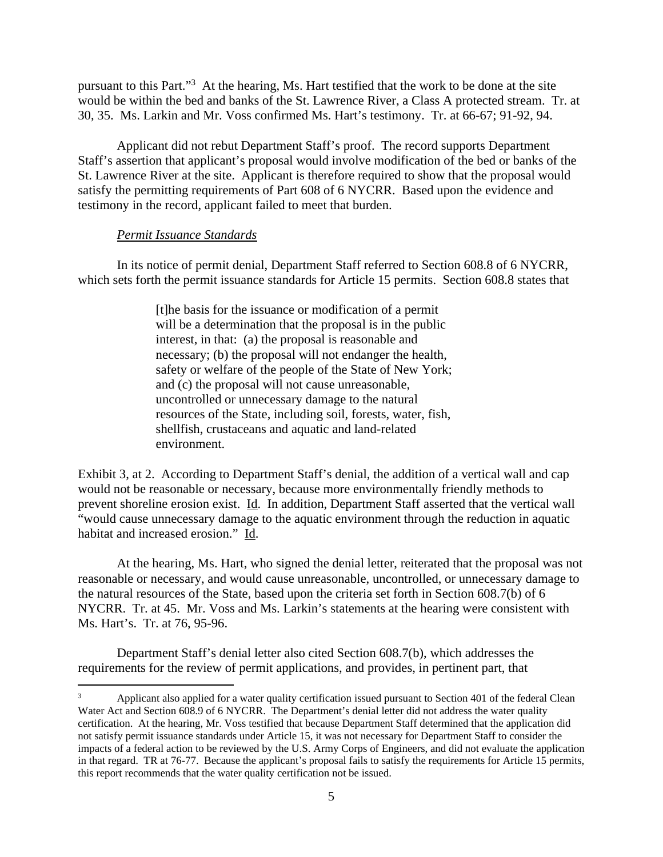pursuant to this Part."<sup>3</sup> At the hearing, Ms. Hart testified that the work to be done at the site would be within the bed and banks of the St. Lawrence River, a Class A protected stream. Tr. at 30, 35. Ms. Larkin and Mr. Voss confirmed Ms. Hart's testimony. Tr. at 66-67; 91-92, 94.

Applicant did not rebut Department Staff's proof. The record supports Department Staff's assertion that applicant's proposal would involve modification of the bed or banks of the St. Lawrence River at the site. Applicant is therefore required to show that the proposal would satisfy the permitting requirements of Part 608 of 6 NYCRR. Based upon the evidence and testimony in the record, applicant failed to meet that burden.

### *Permit Issuance Standards*

In its notice of permit denial, Department Staff referred to Section 608.8 of 6 NYCRR, which sets forth the permit issuance standards for Article 15 permits. Section 608.8 states that

> [t]he basis for the issuance or modification of a permit will be a determination that the proposal is in the public interest, in that: (a) the proposal is reasonable and necessary; (b) the proposal will not endanger the health, safety or welfare of the people of the State of New York; and (c) the proposal will not cause unreasonable, uncontrolled or unnecessary damage to the natural resources of the State, including soil, forests, water, fish, shellfish, crustaceans and aquatic and land-related environment.

Exhibit 3, at 2. According to Department Staff's denial, the addition of a vertical wall and cap would not be reasonable or necessary, because more environmentally friendly methods to prevent shoreline erosion exist. Id. In addition, Department Staff asserted that the vertical wall "would cause unnecessary damage to the aquatic environment through the reduction in aquatic habitat and increased erosion." Id.

At the hearing, Ms. Hart, who signed the denial letter, reiterated that the proposal was not reasonable or necessary, and would cause unreasonable, uncontrolled, or unnecessary damage to the natural resources of the State, based upon the criteria set forth in Section 608.7(b) of 6 NYCRR. Tr. at 45. Mr. Voss and Ms. Larkin's statements at the hearing were consistent with Ms. Hart's. Tr. at 76, 95-96.

Department Staff's denial letter also cited Section 608.7(b), which addresses the requirements for the review of permit applications, and provides, in pertinent part, that

<sup>3</sup> Applicant also applied for a water quality certification issued pursuant to Section 401 of the federal Clean Water Act and Section 608.9 of 6 NYCRR. The Department's denial letter did not address the water quality certification. At the hearing, Mr. Voss testified that because Department Staff determined that the application did not satisfy permit issuance standards under Article 15, it was not necessary for Department Staff to consider the impacts of a federal action to be reviewed by the U.S. Army Corps of Engineers, and did not evaluate the application in that regard. TR at 76-77. Because the applicant's proposal fails to satisfy the requirements for Article 15 permits, this report recommends that the water quality certification not be issued.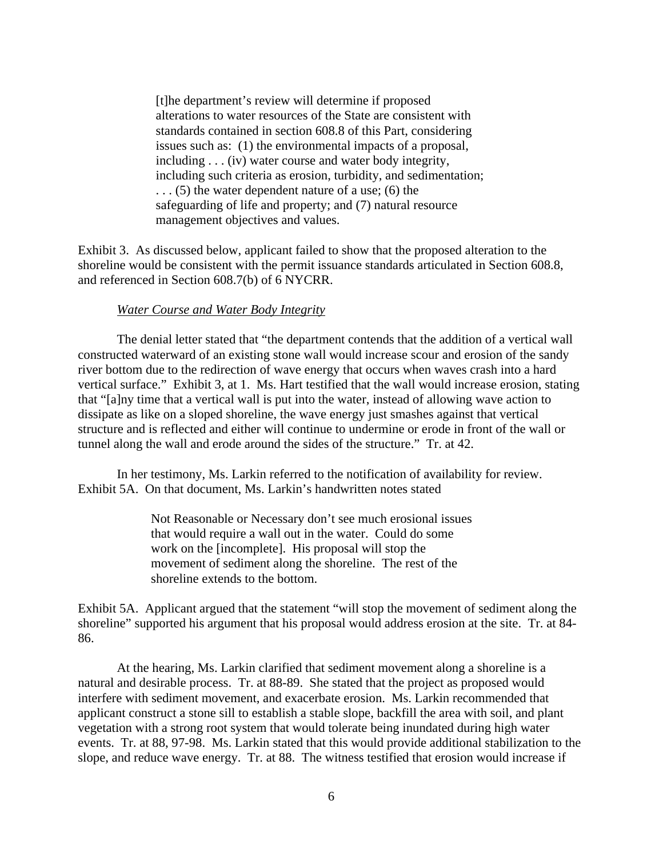[t]he department's review will determine if proposed alterations to water resources of the State are consistent with standards contained in section 608.8 of this Part, considering issues such as: (1) the environmental impacts of a proposal, including . . . (iv) water course and water body integrity, including such criteria as erosion, turbidity, and sedimentation; . . . (5) the water dependent nature of a use; (6) the safeguarding of life and property; and (7) natural resource management objectives and values.

Exhibit 3. As discussed below, applicant failed to show that the proposed alteration to the shoreline would be consistent with the permit issuance standards articulated in Section 608.8, and referenced in Section 608.7(b) of 6 NYCRR.

### *Water Course and Water Body Integrity*

 The denial letter stated that "the department contends that the addition of a vertical wall constructed waterward of an existing stone wall would increase scour and erosion of the sandy river bottom due to the redirection of wave energy that occurs when waves crash into a hard vertical surface." Exhibit 3, at 1. Ms. Hart testified that the wall would increase erosion, stating that "[a]ny time that a vertical wall is put into the water, instead of allowing wave action to dissipate as like on a sloped shoreline, the wave energy just smashes against that vertical structure and is reflected and either will continue to undermine or erode in front of the wall or tunnel along the wall and erode around the sides of the structure." Tr. at 42.

 In her testimony, Ms. Larkin referred to the notification of availability for review. Exhibit 5A. On that document, Ms. Larkin's handwritten notes stated

> Not Reasonable or Necessary don't see much erosional issues that would require a wall out in the water. Could do some work on the [incomplete]. His proposal will stop the movement of sediment along the shoreline. The rest of the shoreline extends to the bottom.

Exhibit 5A. Applicant argued that the statement "will stop the movement of sediment along the shoreline" supported his argument that his proposal would address erosion at the site. Tr. at 84- 86.

At the hearing, Ms. Larkin clarified that sediment movement along a shoreline is a natural and desirable process. Tr. at 88-89. She stated that the project as proposed would interfere with sediment movement, and exacerbate erosion. Ms. Larkin recommended that applicant construct a stone sill to establish a stable slope, backfill the area with soil, and plant vegetation with a strong root system that would tolerate being inundated during high water events. Tr. at 88, 97-98. Ms. Larkin stated that this would provide additional stabilization to the slope, and reduce wave energy. Tr. at 88. The witness testified that erosion would increase if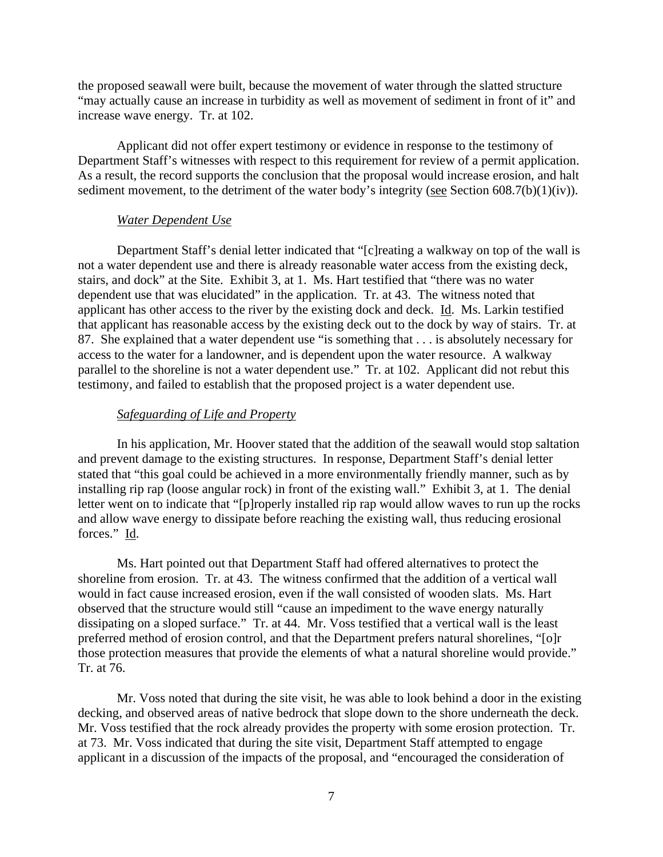the proposed seawall were built, because the movement of water through the slatted structure "may actually cause an increase in turbidity as well as movement of sediment in front of it" and increase wave energy. Tr. at 102.

Applicant did not offer expert testimony or evidence in response to the testimony of Department Staff's witnesses with respect to this requirement for review of a permit application. As a result, the record supports the conclusion that the proposal would increase erosion, and halt sediment movement, to the detriment of the water body's integrity (see Section 608.7(b)(1)(iv)).

### *Water Dependent Use*

 Department Staff's denial letter indicated that "[c]reating a walkway on top of the wall is not a water dependent use and there is already reasonable water access from the existing deck, stairs, and dock" at the Site. Exhibit 3, at 1. Ms. Hart testified that "there was no water dependent use that was elucidated" in the application. Tr. at 43. The witness noted that applicant has other access to the river by the existing dock and deck. Id. Ms. Larkin testified that applicant has reasonable access by the existing deck out to the dock by way of stairs. Tr. at 87. She explained that a water dependent use "is something that . . . is absolutely necessary for access to the water for a landowner, and is dependent upon the water resource. A walkway parallel to the shoreline is not a water dependent use." Tr. at 102. Applicant did not rebut this testimony, and failed to establish that the proposed project is a water dependent use.

#### *Safeguarding of Life and Property*

 In his application, Mr. Hoover stated that the addition of the seawall would stop saltation and prevent damage to the existing structures. In response, Department Staff's denial letter stated that "this goal could be achieved in a more environmentally friendly manner, such as by installing rip rap (loose angular rock) in front of the existing wall." Exhibit 3, at 1. The denial letter went on to indicate that "[p]roperly installed rip rap would allow waves to run up the rocks and allow wave energy to dissipate before reaching the existing wall, thus reducing erosional forces." Id.

 Ms. Hart pointed out that Department Staff had offered alternatives to protect the shoreline from erosion. Tr. at 43. The witness confirmed that the addition of a vertical wall would in fact cause increased erosion, even if the wall consisted of wooden slats. Ms. Hart observed that the structure would still "cause an impediment to the wave energy naturally dissipating on a sloped surface." Tr. at 44. Mr. Voss testified that a vertical wall is the least preferred method of erosion control, and that the Department prefers natural shorelines, "[o]r those protection measures that provide the elements of what a natural shoreline would provide." Tr. at 76.

 Mr. Voss noted that during the site visit, he was able to look behind a door in the existing decking, and observed areas of native bedrock that slope down to the shore underneath the deck. Mr. Voss testified that the rock already provides the property with some erosion protection. Tr. at 73. Mr. Voss indicated that during the site visit, Department Staff attempted to engage applicant in a discussion of the impacts of the proposal, and "encouraged the consideration of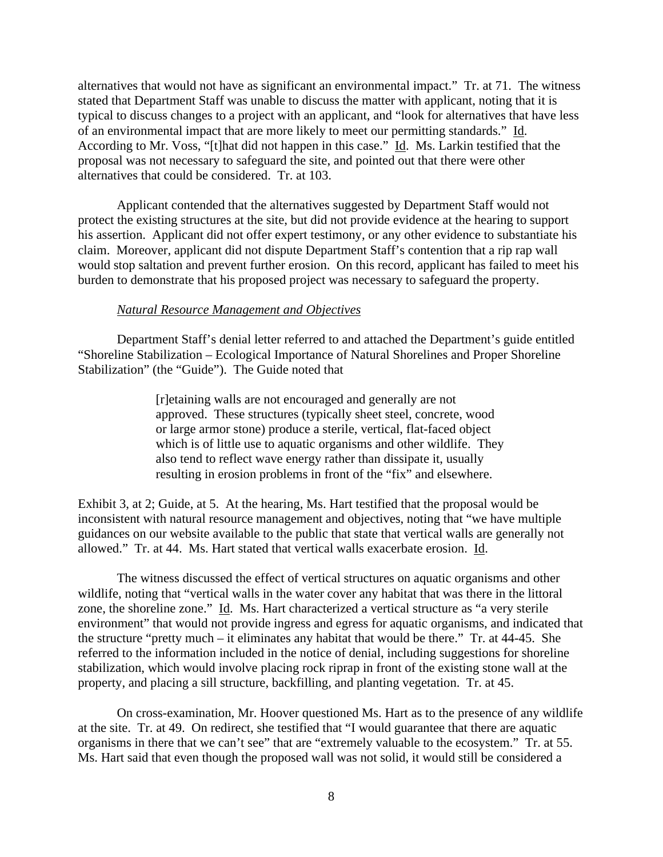alternatives that would not have as significant an environmental impact." Tr. at 71. The witness stated that Department Staff was unable to discuss the matter with applicant, noting that it is typical to discuss changes to a project with an applicant, and "look for alternatives that have less of an environmental impact that are more likely to meet our permitting standards." Id. According to Mr. Voss, "[t]hat did not happen in this case." Id. Ms. Larkin testified that the proposal was not necessary to safeguard the site, and pointed out that there were other alternatives that could be considered. Tr. at 103.

 Applicant contended that the alternatives suggested by Department Staff would not protect the existing structures at the site, but did not provide evidence at the hearing to support his assertion. Applicant did not offer expert testimony, or any other evidence to substantiate his claim. Moreover, applicant did not dispute Department Staff's contention that a rip rap wall would stop saltation and prevent further erosion. On this record, applicant has failed to meet his burden to demonstrate that his proposed project was necessary to safeguard the property.

## *Natural Resource Management and Objectives*

 Department Staff's denial letter referred to and attached the Department's guide entitled "Shoreline Stabilization – Ecological Importance of Natural Shorelines and Proper Shoreline Stabilization" (the "Guide"). The Guide noted that

> [r]etaining walls are not encouraged and generally are not approved. These structures (typically sheet steel, concrete, wood or large armor stone) produce a sterile, vertical, flat-faced object which is of little use to aquatic organisms and other wildlife. They also tend to reflect wave energy rather than dissipate it, usually resulting in erosion problems in front of the "fix" and elsewhere.

Exhibit 3, at 2; Guide, at 5. At the hearing, Ms. Hart testified that the proposal would be inconsistent with natural resource management and objectives, noting that "we have multiple guidances on our website available to the public that state that vertical walls are generally not allowed." Tr. at 44. Ms. Hart stated that vertical walls exacerbate erosion. Id.

The witness discussed the effect of vertical structures on aquatic organisms and other wildlife, noting that "vertical walls in the water cover any habitat that was there in the littoral zone, the shoreline zone." Id. Ms. Hart characterized a vertical structure as "a very sterile environment" that would not provide ingress and egress for aquatic organisms, and indicated that the structure "pretty much – it eliminates any habitat that would be there." Tr. at 44-45. She referred to the information included in the notice of denial, including suggestions for shoreline stabilization, which would involve placing rock riprap in front of the existing stone wall at the property, and placing a sill structure, backfilling, and planting vegetation. Tr. at 45.

 On cross-examination, Mr. Hoover questioned Ms. Hart as to the presence of any wildlife at the site. Tr. at 49. On redirect, she testified that "I would guarantee that there are aquatic organisms in there that we can't see" that are "extremely valuable to the ecosystem." Tr. at 55. Ms. Hart said that even though the proposed wall was not solid, it would still be considered a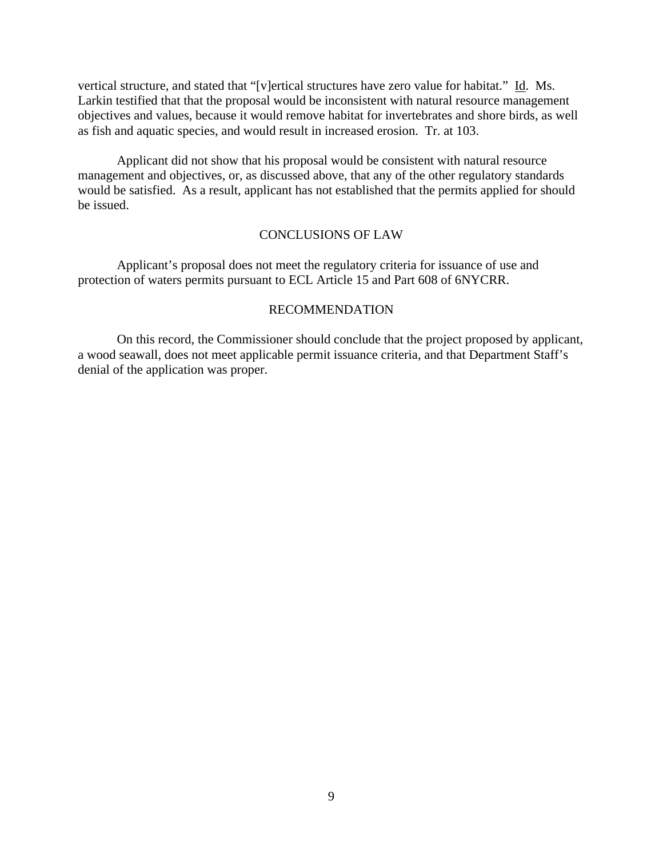vertical structure, and stated that "[v]ertical structures have zero value for habitat." Id. Ms. Larkin testified that that the proposal would be inconsistent with natural resource management objectives and values, because it would remove habitat for invertebrates and shore birds, as well as fish and aquatic species, and would result in increased erosion. Tr. at 103.

 Applicant did not show that his proposal would be consistent with natural resource management and objectives, or, as discussed above, that any of the other regulatory standards would be satisfied. As a result, applicant has not established that the permits applied for should be issued.

### CONCLUSIONS OF LAW

 Applicant's proposal does not meet the regulatory criteria for issuance of use and protection of waters permits pursuant to ECL Article 15 and Part 608 of 6NYCRR.

## RECOMMENDATION

 On this record, the Commissioner should conclude that the project proposed by applicant, a wood seawall, does not meet applicable permit issuance criteria, and that Department Staff's denial of the application was proper.